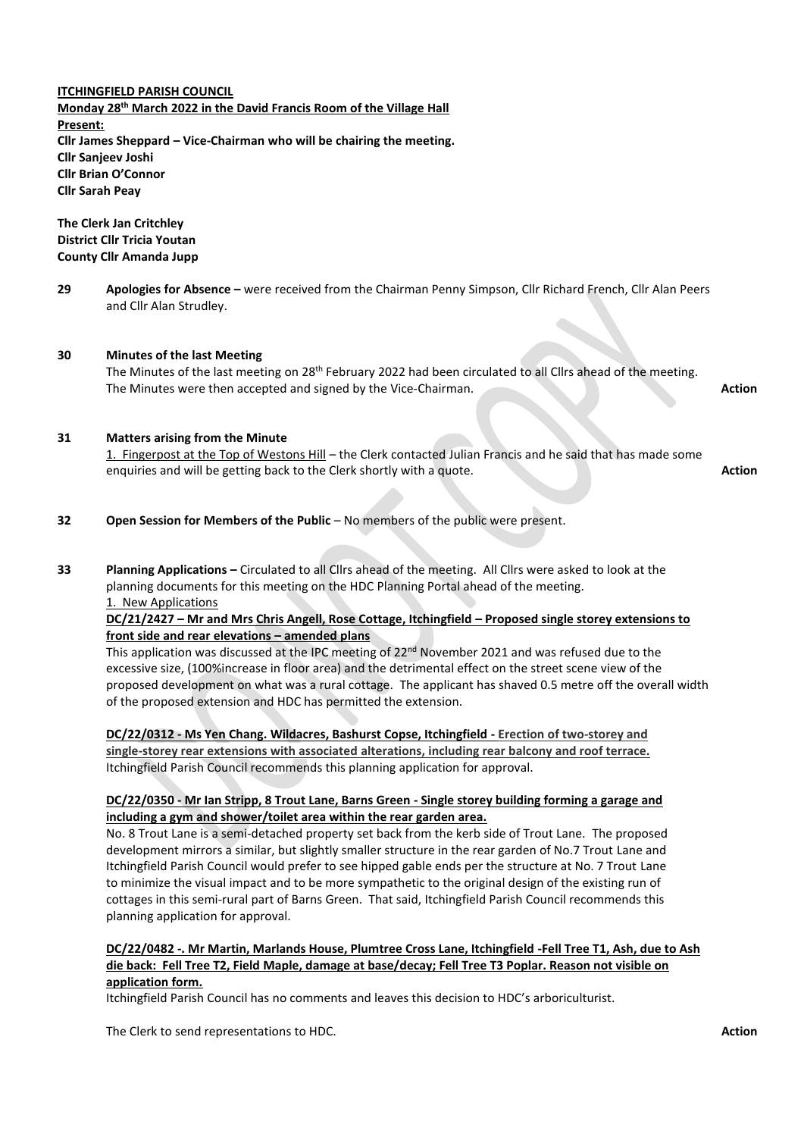**ITCHINGFIELD PARISH COUNCIL Monday 28th March 2022 in the David Francis Room of the Village Hall Present: Cllr James Sheppard – Vice-Chairman who will be chairing the meeting. Cllr Sanjeev Joshi Cllr Brian O'Connor Cllr Sarah Peay**

**The Clerk Jan Critchley District Cllr Tricia Youtan County Cllr Amanda Jupp**

**29 Apologies for Absence –** were received from the Chairman Penny Simpson, Cllr Richard French, Cllr Alan Peers and Cllr Alan Strudley.

# **30 Minutes of the last Meeting** The Minutes of the last meeting on 28<sup>th</sup> February 2022 had been circulated to all Cllrs ahead of the meeting. The Minutes were then accepted and signed by the Vice-Chairman. **Action Action Action Action**

# **31 Matters arising from the Minute**

1. Fingerpost at the Top of Westons Hill – the Clerk contacted Julian Francis and he said that has made some enquiries and will be getting back to the Clerk shortly with a quote. **Action Action Action** 

- **32 Open Session for Members of the Public** No members of the public were present.
- **33 Planning Applications –** Circulated to all Cllrs ahead of the meeting. All Cllrs were asked to look at the planning documents for this meeting on the HDC Planning Portal ahead of the meeting. 1. New Applications

**DC/21/2427 – Mr and Mrs Chris Angell, Rose Cottage, Itchingfield – Proposed single storey extensions to front side and rear elevations – amended plans**

This application was discussed at the IPC meeting of  $22<sup>nd</sup>$  November 2021 and was refused due to the excessive size, (100%increase in floor area) and the detrimental effect on the street scene view of the proposed development on what was a rural cottage. The applicant has shaved 0.5 metre off the overall width of the proposed extension and HDC has permitted the extension.

**DC/22/0312 - Ms Yen Chang. Wildacres, Bashurst Copse, Itchingfield - Erection of two-storey and single-storey rear extensions with associated alterations, including rear balcony and roof terrace.** Itchingfield Parish Council recommends this planning application for approval.

# **DC/22/0350 - Mr Ian Stripp, 8 Trout Lane, Barns Green - Single storey building forming a garage and including a gym and shower/toilet area within the rear garden area.**

No. 8 Trout Lane is a semi-detached property set back from the kerb side of Trout Lane. The proposed development mirrors a similar, but slightly smaller structure in the rear garden of No.7 Trout Lane and Itchingfield Parish Council would prefer to see hipped gable ends per the structure at No. 7 Trout Lane to minimize the visual impact and to be more sympathetic to the original design of the existing run of cottages in this semi-rural part of Barns Green. That said, Itchingfield Parish Council recommends this planning application for approval.

# **DC/22/0482 -. Mr Martin, Marlands House, Plumtree Cross Lane, Itchingfield -Fell Tree T1, Ash, due to Ash die back: Fell Tree T2, Field Maple, damage at base/decay; Fell Tree T3 Poplar. Reason not visible on application form.**

Itchingfield Parish Council has no comments and leaves this decision to HDC's arboriculturist.

The Clerk to send representations to HDC. **Action**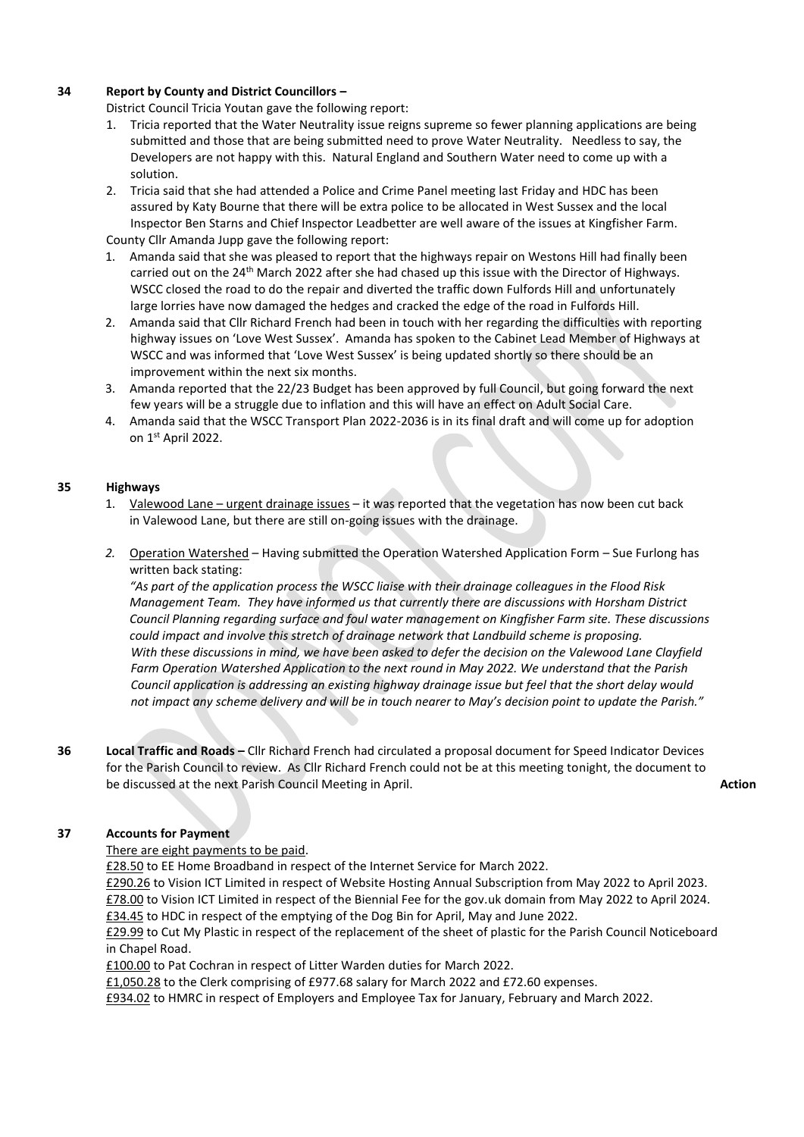# **34 Report by County and District Councillors –**

District Council Tricia Youtan gave the following report:

- 1. Tricia reported that the Water Neutrality issue reigns supreme so fewer planning applications are being submitted and those that are being submitted need to prove Water Neutrality. Needless to say, the Developers are not happy with this. Natural England and Southern Water need to come up with a solution.
- 2. Tricia said that she had attended a Police and Crime Panel meeting last Friday and HDC has been assured by Katy Bourne that there will be extra police to be allocated in West Sussex and the local Inspector Ben Starns and Chief Inspector Leadbetter are well aware of the issues at Kingfisher Farm.

County Cllr Amanda Jupp gave the following report:

- 1. Amanda said that she was pleased to report that the highways repair on Westons Hill had finally been carried out on the 24<sup>th</sup> March 2022 after she had chased up this issue with the Director of Highways. WSCC closed the road to do the repair and diverted the traffic down Fulfords Hill and unfortunately large lorries have now damaged the hedges and cracked the edge of the road in Fulfords Hill.
- 2. Amanda said that Cllr Richard French had been in touch with her regarding the difficulties with reporting highway issues on 'Love West Sussex'. Amanda has spoken to the Cabinet Lead Member of Highways at WSCC and was informed that 'Love West Sussex' is being updated shortly so there should be an improvement within the next six months.
- 3. Amanda reported that the 22/23 Budget has been approved by full Council, but going forward the next few years will be a struggle due to inflation and this will have an effect on Adult Social Care.
- 4. Amanda said that the WSCC Transport Plan 2022-2036 is in its final draft and will come up for adoption on 1 st April 2022.

# **35 Highways**

- 1. Valewood Lane urgent drainage issues it was reported that the vegetation has now been cut back in Valewood Lane, but there are still on-going issues with the drainage.
- *2.* Operation Watershed Having submitted the Operation Watershed Application Form Sue Furlong has written back stating:

*"As part of the application process the WSCC liaise with their drainage colleagues in the Flood Risk Management Team. They have informed us that currently there are discussions with Horsham District Council Planning regarding surface and foul water management on Kingfisher Farm site. These discussions could impact and involve this stretch of drainage network that Landbuild scheme is proposing. With these discussions in mind, we have been asked to defer the decision on the Valewood Lane Clayfield Farm Operation Watershed Application to the next round in May 2022. We understand that the Parish Council application is addressing an existing highway drainage issue but feel that the short delay would not impact any scheme delivery and will be in touch nearer to May's decision point to update the Parish."*

**36 Local Traffic and Roads –** Cllr Richard French had circulated a proposal document for Speed Indicator Devices for the Parish Council to review. As Cllr Richard French could not be at this meeting tonight, the document to be discussed at the next Parish Council Meeting in April. **Action** 

# **37 Accounts for Payment**

### There are eight payments to be paid.

£28.50 to EE Home Broadband in respect of the Internet Service for March 2022.

£290.26 to Vision ICT Limited in respect of Website Hosting Annual Subscription from May 2022 to April 2023. £78.00 to Vision ICT Limited in respect of the Biennial Fee for the gov.uk domain from May 2022 to April 2024. £34.45 to HDC in respect of the emptying of the Dog Bin for April, May and June 2022.

£29.99 to Cut My Plastic in respect of the replacement of the sheet of plastic for the Parish Council Noticeboard in Chapel Road.

£100.00 to Pat Cochran in respect of Litter Warden duties for March 2022.

£1,050.28 to the Clerk comprising of £977.68 salary for March 2022 and £72.60 expenses.

£934.02 to HMRC in respect of Employers and Employee Tax for January, February and March 2022.